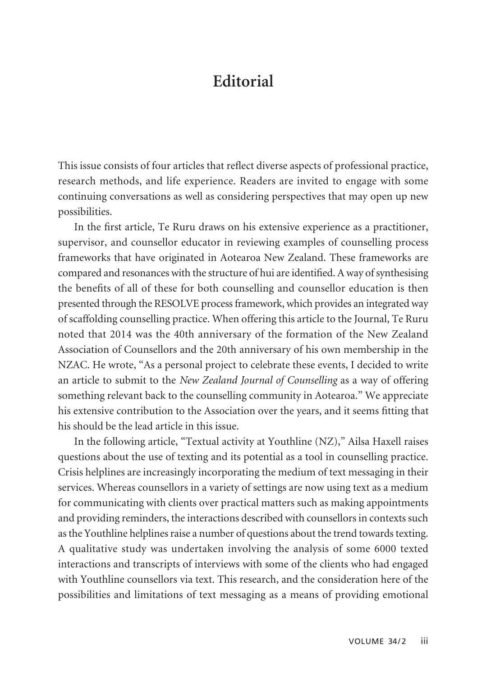## **Editorial**

This issue consists of four articles that reflect diverse aspects of professional practice, research methods, and life experience. Readers are invited to engage with some continuing conversations as well as considering perspectives that may open up new possibilities.

In the first article, Te Ruru draws on his extensive experience as a practitioner, supervisor, and counsellor educator in reviewing examples of counselling process frameworks that have originated in Aotearoa New Zealand. These frameworks are compared and resonances with the structure of hui are identified. A way of synthesising the benefits of all of these for both counselling and counsellor education is then presented through the RESOLVE process framework, which provides an integrated way of scaffolding counselling practice. When offering this article to the Journal, Te Ruru noted that 2014 was the 40th anniversary of the formation of the New Zealand Association of Counsellors and the 20th anniversary of his own membership in the NZAC. He wrote, "As a personal project to celebrate these events, I decided to write an article to submit to the *New Zealand Journal of Counselling* as a way of offering something relevant back to the counselling community in Aotearoa." We appreciate his extensive contribution to the Association over the years, and it seems fitting that his should be the lead article in this issue.

In the following article, "Textual activity at Youthline (NZ)," Ailsa Haxell raises questions about the use of texting and its potential as a tool in counselling practice. Crisis helplines are increasingly incorporating the medium of text messaging in their services. Whereas counsellors in a variety of settings are now using text as a medium for communicating with clients over practical matters such as making appointments and providing reminders, the interactions described with counsellors in contexts such as the Youthline helplines raise a number of questions about the trend towards texting. A qualitative study was undertaken involving the analysis of some 6000 texted interactions and transcripts of interviews with some of the clients who had engaged with Youthline counsellors via text. This research, and the consideration here of the possibilities and limitations of text messaging as a means of providing emotional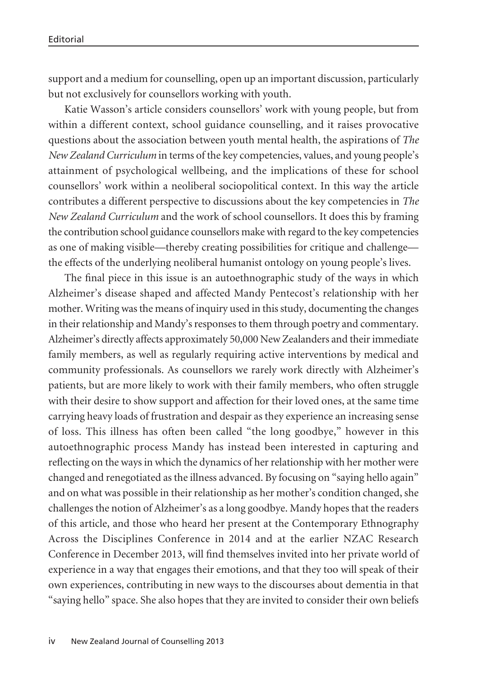support and a medium for counselling, open up an important discussion, particularly but not exclusively for counsellors working with youth.

Katie Wasson's article considers counsellors' work with young people, but from within a different context, school guidance counselling, and it raises provocative questions about the association between youth mental health, the aspirations of *The New Zealand Curriculum* in terms of the key competencies, values, and young people's attainment of psychological wellbeing, and the implications of these for school counsellors' work within a neoliberal sociopolitical context. In this way the article contributes a different perspective to discussions about the key competencies in *The New Zealand Curriculum* and the work of school counsellors. It does this by framing the contribution school guidance counsellors make with regard to the key competencies as one of making visible—thereby creating possibilities for critique and challenge the effects of the underlying neoliberal humanist ontology on young people's lives.

The final piece in this issue is an autoethnographic study of the ways in which Alzheimer's disease shaped and affected Mandy Pentecost's relationship with her mother. Writing was the means of inquiry used in this study, documenting the changes in their relationship and Mandy's responses to them through poetry and commentary. Alzheimer's directly affects approximately 50,000 New Zealanders and their immediate family members, as well as regularly requiring active interventions by medical and community professionals. As counsellors we rarely work directly with Alzheimer's patients, but are more likely to work with their family members, who often struggle with their desire to show support and affection for their loved ones, at the same time carrying heavy loads of frustration and despair as they experience an increasing sense of loss. This illness has often been called "the long goodbye," however in this autoethnographic process Mandy has instead been interested in capturing and reflecting on the ways in which the dynamics of her relationship with her mother were changed and renegotiated as the illness advanced. By focusing on "saying hello again" and on what was possible in their relationship as her mother's condition changed, she challenges the notion of Alzheimer's as a long goodbye. Mandy hopes that the readers of this article, and those who heard her present at the Contemporary Ethnography Across the Disciplines Conference in 2014 and at the earlier NZAC Research Conference in December 2013, will find themselves invited into her private world of experience in a way that engages their emotions, and that they too will speak of their own experiences, contributing in new ways to the discourses about dementia in that "saying hello" space. She also hopes that they are invited to consider their own beliefs